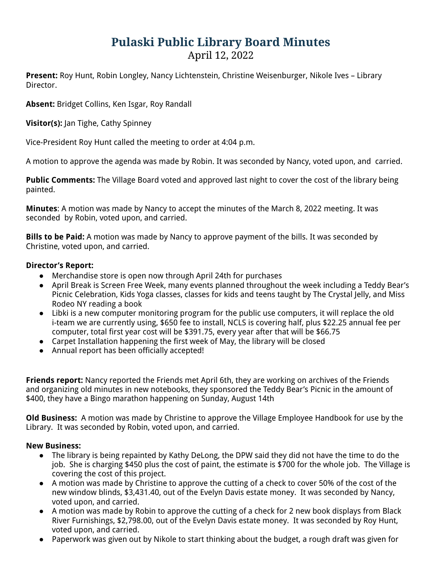## **Pulaski Public Library Board Minutes** April 12, 2022

**Present:** Roy Hunt, Robin Longley, Nancy Lichtenstein, Christine Weisenburger, Nikole Ives – Library Director.

**Absent:** Bridget Collins, Ken Isgar, Roy Randall

**Visitor(s):** Jan Tighe, Cathy Spinney

Vice-President Roy Hunt called the meeting to order at 4:04 p.m.

A motion to approve the agenda was made by Robin. It was seconded by Nancy, voted upon, and carried.

**Public Comments:** The Village Board voted and approved last night to cover the cost of the library being painted.

**Minutes**: A motion was made by Nancy to accept the minutes of the March 8, 2022 meeting. It was seconded by Robin, voted upon, and carried.

**Bills to be Paid:** A motion was made by Nancy to approve payment of the bills. It was seconded by Christine, voted upon, and carried.

## **Director's Report:**

- Merchandise store is open now through April 24th for purchases
- April Break is Screen Free Week, many events planned throughout the week including a Teddy Bear's Picnic Celebration, Kids Yoga classes, classes for kids and teens taught by The Crystal Jelly, and Miss Rodeo NY reading a book
- Libki is a new computer monitoring program for the public use computers, it will replace the old i-team we are currently using, \$650 fee to install, NCLS is covering half, plus \$22.25 annual fee per computer, total first year cost will be \$391.75, every year after that will be \$66.75
- Carpet Installation happening the first week of May, the library will be closed
- Annual report has been officially accepted!

**Friends report:** Nancy reported the Friends met April 6th, they are working on archives of the Friends and organizing old minutes in new notebooks, they sponsored the Teddy Bear's Picnic in the amount of \$400, they have a Bingo marathon happening on Sunday, August 14th

**Old Business:** A motion was made by Christine to approve the Village Employee Handbook for use by the Library. It was seconded by Robin, voted upon, and carried.

## **New Business:**

- The library is being repainted by Kathy DeLong, the DPW said they did not have the time to do the job. She is charging \$450 plus the cost of paint, the estimate is \$700 for the whole job. The Village is covering the cost of this project.
- A motion was made by Christine to approve the cutting of a check to cover 50% of the cost of the new window blinds, \$3,431.40, out of the Evelyn Davis estate money. It was seconded by Nancy, voted upon, and carried.
- A motion was made by Robin to approve the cutting of a check for 2 new book displays from Black River Furnishings, \$2,798.00, out of the Evelyn Davis estate money. It was seconded by Roy Hunt, voted upon, and carried.
- Paperwork was given out by Nikole to start thinking about the budget, a rough draft was given for